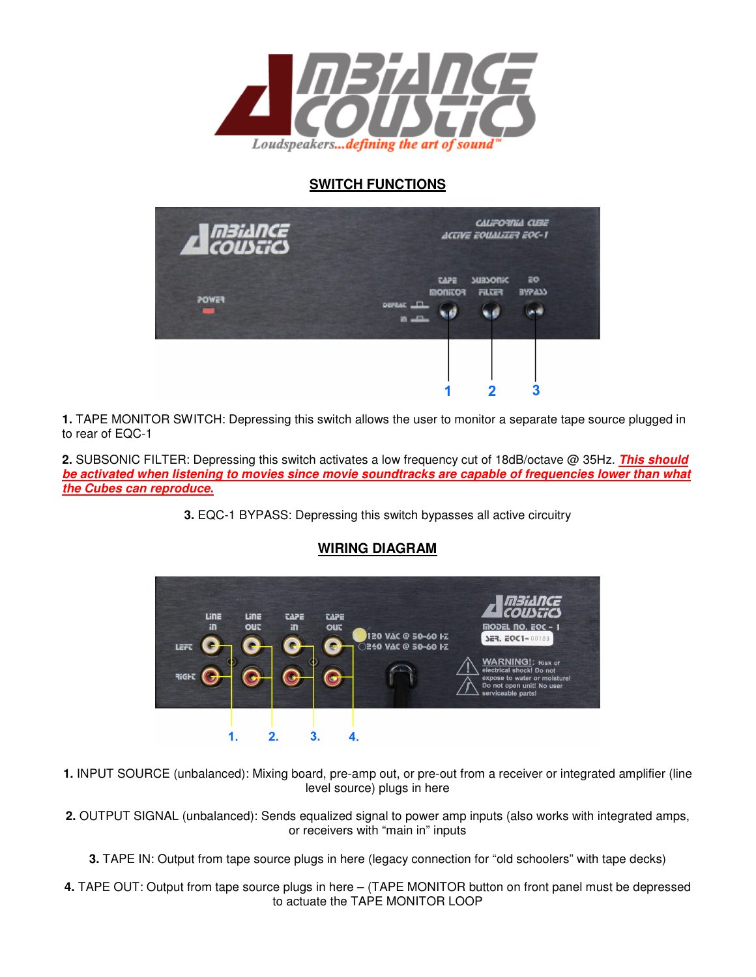

## **SWITCH FUNCTIONS**



**1.** TAPE MONITOR SWITCH: Depressing this switch allows the user to monitor a separate tape source plugged in to rear of EQC-1

**2.** SUBSONIC FILTER: Depressing this switch activates a low frequency cut of 18dB/octave @ 35Hz. **This should be activated when listening to movies since movie soundtracks are capable of frequencies lower than what the Cubes can reproduce.** 

**3.** EQC-1 BYPASS: Depressing this switch bypasses all active circuitry



## **WIRING DIAGRAM**

- **1.** INPUT SOURCE (unbalanced): Mixing board, pre-amp out, or pre-out from a receiver or integrated amplifier (line level source) plugs in here
- **2.** OUTPUT SIGNAL (unbalanced): Sends equalized signal to power amp inputs (also works with integrated amps, or receivers with "main in" inputs
	- **3.** TAPE IN: Output from tape source plugs in here (legacy connection for "old schoolers" with tape decks)
- **4.** TAPE OUT: Output from tape source plugs in here (TAPE MONITOR button on front panel must be depressed to actuate the TAPE MONITOR LOOP